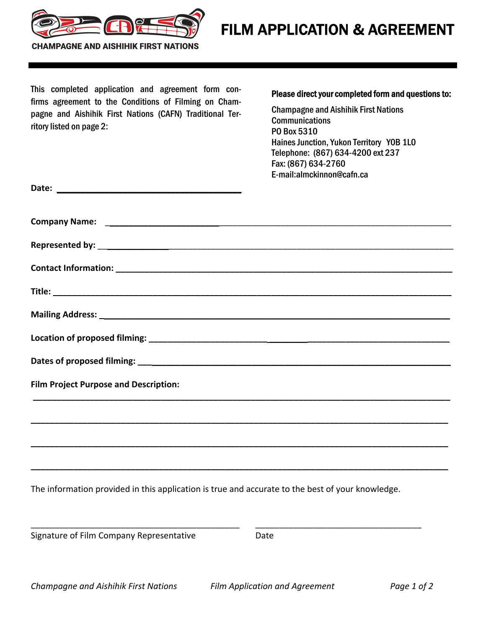

**CHAMPAGNE AND AISHIHIK FIRST NATIONS** 

This completed application and agreement form confirms agreement to the Conditions of Filming on Champagne and Aishihik First Nations (CAFN) Traditional Territory listed on page 2:

## Please direct your completed form and questions to:

Champagne and Aishihik First Nations Communications PO Box 5310 Haines Junction, Yukon Territory Y0B 1L0 Telephone: (867) 634-4200 ext 237 Fax: (867) 634-2760 E-mail:almckinnon@cafn.ca

| <b>Film Project Purpose and Description:</b> |
|----------------------------------------------|
|                                              |
|                                              |
|                                              |
|                                              |

The information provided in this application is true and accurate to the best of your knowledge.

\_\_\_\_\_\_\_\_\_\_\_\_\_\_\_\_\_\_\_\_\_\_\_\_\_\_\_\_\_\_\_\_\_\_\_\_\_\_\_\_\_\_\_\_ \_\_\_\_\_\_\_\_\_\_\_\_\_\_\_\_\_\_\_\_\_\_\_\_\_\_\_\_\_\_\_\_\_\_\_

Signature of Film Company Representative **Signature of Film Company Representative**